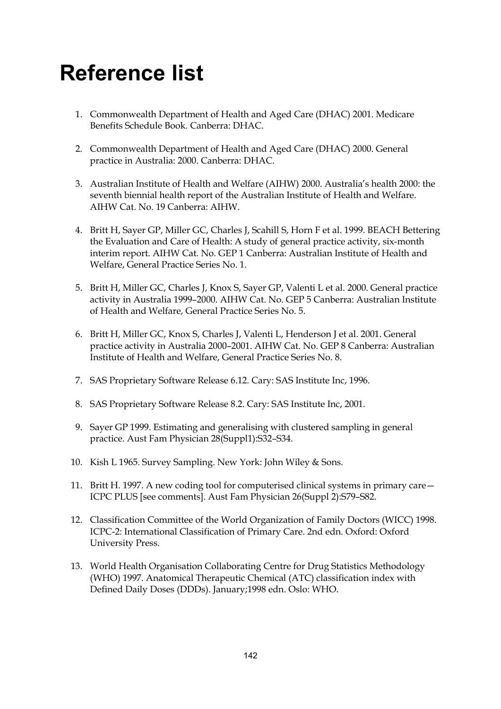## **Reference list**

- 1. Commonwealth Department of Health and Aged Care (DHAC) 2001. Medicare Benefits Schedule Book. Canberra: DHAC.
- 2. Commonwealth Department of Health and Aged Care (DHAC) 2000. General practice in Australia: 2000. Canberra: DHAC.
- 3. Australian Institute of Health and Welfare (AIHW) 2000. Australia's health 2000: the seventh biennial health report of the Australian Institute of Health and Welfare. AIHW Cat. No. 19 Canberra: AIHW.
- 4. Britt H, Sayer GP, Miller GC, Charles J, Scahill S, Horn F et al. 1999. BEACH Bettering the Evaluation and Care of Health: A study of general practice activity, six-month interim report. AIHW Cat. No. GEP 1 Canberra: Australian Institute of Health and Welfare, General Practice Series No. 1.
- 5. Britt H, Miller GC, Charles J, Knox S, Sayer GP, Valenti L et al. 2000. General practice activity in Australia 1999–2000. AIHW Cat. No. GEP 5 Canberra: Australian Institute of Health and Welfare, General Practice Series No. 5.
- 6. Britt H, Miller GC, Knox S, Charles J, Valenti L, Henderson J et al. 2001. General practice activity in Australia 2000–2001. AIHW Cat. No. GEP 8 Canberra: Australian Institute of Health and Welfare, General Practice Series No. 8.
- 7. SAS Proprietary Software Release 6.12. Cary: SAS Institute Inc, 1996.
- 8. SAS Proprietary Software Release 8.2. Cary: SAS Institute Inc, 2001.
- 9. Sayer GP 1999. Estimating and generalising with clustered sampling in general practice. Aust Fam Physician 28(Suppl1):S32–S34.
- 10. Kish L 1965. Survey Sampling. New York: John Wiley & Sons.
- 11. Britt H. 1997. A new coding tool for computerised clinical systems in primary care— ICPC PLUS [see comments]. Aust Fam Physician 26(Suppl 2):S79–S82.
- 12. Classification Committee of the World Organization of Family Doctors (WICC) 1998. ICPC-2: International Classification of Primary Care. 2nd edn. Oxford: Oxford University Press.
- 13. World Health Organisation Collaborating Centre for Drug Statistics Methodology (WHO) 1997. Anatomical Therapeutic Chemical (ATC) classification index with Defined Daily Doses (DDDs). January;1998 edn. Oslo: WHO.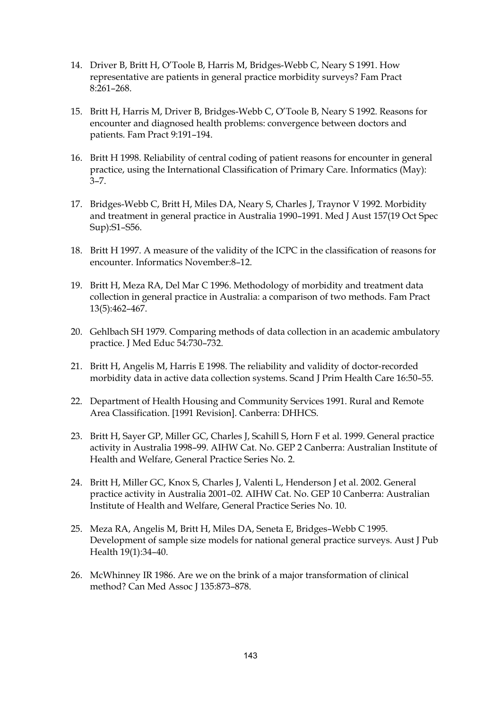- 14. Driver B, Britt H, O'Toole B, Harris M, Bridges-Webb C, Neary S 1991. How representative are patients in general practice morbidity surveys? Fam Pract 8:261–268.
- 15. Britt H, Harris M, Driver B, Bridges-Webb C, O'Toole B, Neary S 1992. Reasons for encounter and diagnosed health problems: convergence between doctors and patients. Fam Pract 9:191–194.
- 16. Britt H 1998. Reliability of central coding of patient reasons for encounter in general practice, using the International Classification of Primary Care. Informatics (May): 3–7.
- 17. Bridges-Webb C, Britt H, Miles DA, Neary S, Charles J, Traynor V 1992. Morbidity and treatment in general practice in Australia 1990–1991. Med J Aust 157(19 Oct Spec Sup):S1–S56.
- 18. Britt H 1997. A measure of the validity of the ICPC in the classification of reasons for encounter. Informatics November:8–12.
- 19. Britt H, Meza RA, Del Mar C 1996. Methodology of morbidity and treatment data collection in general practice in Australia: a comparison of two methods. Fam Pract 13(5):462–467.
- 20. Gehlbach SH 1979. Comparing methods of data collection in an academic ambulatory practice. J Med Educ 54:730–732.
- 21. Britt H, Angelis M, Harris E 1998. The reliability and validity of doctor-recorded morbidity data in active data collection systems. Scand J Prim Health Care 16:50–55.
- 22. Department of Health Housing and Community Services 1991. Rural and Remote Area Classification. [1991 Revision]. Canberra: DHHCS.
- 23. Britt H, Sayer GP, Miller GC, Charles J, Scahill S, Horn F et al. 1999. General practice activity in Australia 1998–99. AIHW Cat. No. GEP 2 Canberra: Australian Institute of Health and Welfare, General Practice Series No. 2.
- 24. Britt H, Miller GC, Knox S, Charles J, Valenti L, Henderson J et al. 2002. General practice activity in Australia 2001–02. AIHW Cat. No. GEP 10 Canberra: Australian Institute of Health and Welfare, General Practice Series No. 10.
- 25. Meza RA, Angelis M, Britt H, Miles DA, Seneta E, Bridges–Webb C 1995. Development of sample size models for national general practice surveys. Aust J Pub Health 19(1):34–40.
- 26. McWhinney IR 1986. Are we on the brink of a major transformation of clinical method? Can Med Assoc J 135:873-878.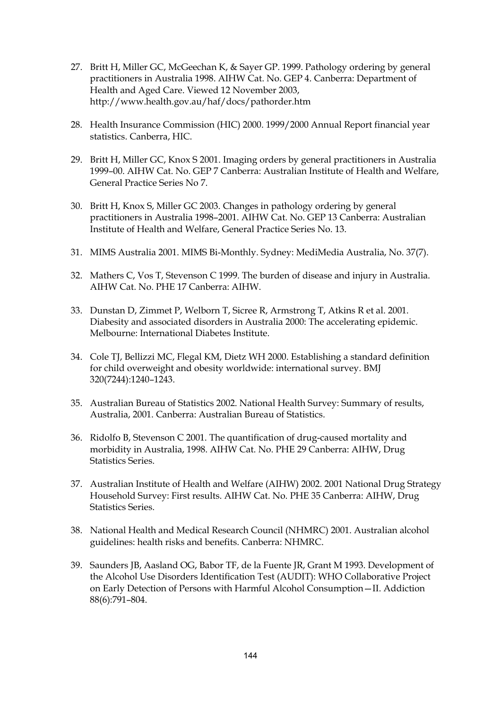- 27. Britt H, Miller GC, McGeechan K, & Sayer GP. 1999. Pathology ordering by general practitioners in Australia 1998. AIHW Cat. No. GEP 4. Canberra: Department of Health and Aged Care. Viewed 12 November 2003, http://www.health.gov.au/haf/docs/pathorder.htm
- 28. Health Insurance Commission (HIC) 2000. 1999/2000 Annual Report financial year statistics. Canberra, HIC.
- 29. Britt H, Miller GC, Knox S 2001. Imaging orders by general practitioners in Australia 1999–00. AIHW Cat. No. GEP 7 Canberra: Australian Institute of Health and Welfare, General Practice Series No 7.
- 30. Britt H, Knox S, Miller GC 2003. Changes in pathology ordering by general practitioners in Australia 1998–2001. AIHW Cat. No. GEP 13 Canberra: Australian Institute of Health and Welfare, General Practice Series No. 13.
- 31. MIMS Australia 2001. MIMS Bi-Monthly. Sydney: MediMedia Australia, No. 37(7).
- 32. Mathers C, Vos T, Stevenson C 1999. The burden of disease and injury in Australia. AIHW Cat. No. PHE 17 Canberra: AIHW.
- 33. Dunstan D, Zimmet P, Welborn T, Sicree R, Armstrong T, Atkins R et al. 2001. Diabesity and associated disorders in Australia 2000: The accelerating epidemic. Melbourne: International Diabetes Institute.
- 34. Cole TJ, Bellizzi MC, Flegal KM, Dietz WH 2000. Establishing a standard definition for child overweight and obesity worldwide: international survey. BMJ 320(7244):1240–1243.
- 35. Australian Bureau of Statistics 2002. National Health Survey: Summary of results, Australia, 2001. Canberra: Australian Bureau of Statistics.
- 36. Ridolfo B, Stevenson C 2001. The quantification of drug-caused mortality and morbidity in Australia, 1998. AIHW Cat. No. PHE 29 Canberra: AIHW, Drug Statistics Series.
- 37. Australian Institute of Health and Welfare (AIHW) 2002. 2001 National Drug Strategy Household Survey: First results. AIHW Cat. No. PHE 35 Canberra: AIHW, Drug Statistics Series.
- 38. National Health and Medical Research Council (NHMRC) 2001. Australian alcohol guidelines: health risks and benefits. Canberra: NHMRC.
- 39. Saunders JB, Aasland OG, Babor TF, de la Fuente JR, Grant M 1993. Development of the Alcohol Use Disorders Identification Test (AUDIT): WHO Collaborative Project on Early Detection of Persons with Harmful Alcohol Consumption—II. Addiction 88(6):791–804.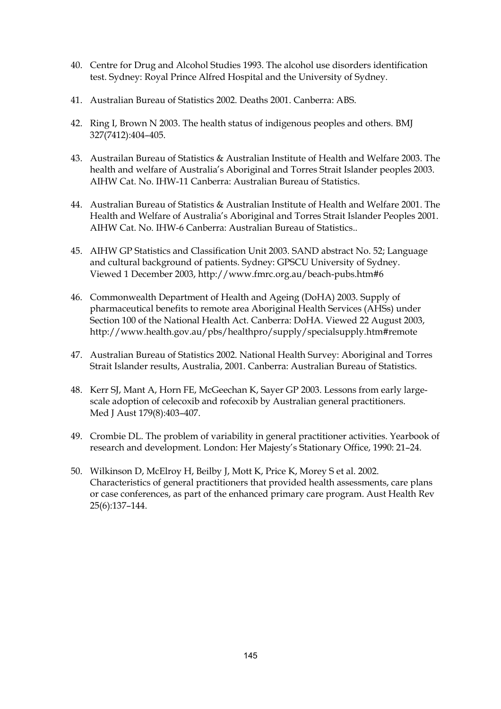- 40. Centre for Drug and Alcohol Studies 1993. The alcohol use disorders identification test. Sydney: Royal Prince Alfred Hospital and the University of Sydney.
- 41. Australian Bureau of Statistics 2002. Deaths 2001. Canberra: ABS.
- 42. Ring I, Brown N 2003. The health status of indigenous peoples and others. BMJ 327(7412):404–405.
- 43. Austrailan Bureau of Statistics & Australian Institute of Health and Welfare 2003. The health and welfare of Australia's Aboriginal and Torres Strait Islander peoples 2003. AIHW Cat. No. IHW-11 Canberra: Australian Bureau of Statistics.
- 44. Australian Bureau of Statistics & Australian Institute of Health and Welfare 2001. The Health and Welfare of Australia's Aboriginal and Torres Strait Islander Peoples 2001. AIHW Cat. No. IHW-6 Canberra: Australian Bureau of Statistics..
- 45. AIHW GP Statistics and Classification Unit 2003. SAND abstract No. 52; Language and cultural background of patients. Sydney: GPSCU University of Sydney. Viewed 1 December 2003, http://www.fmrc.org.au/beach-pubs.htm#6
- 46. Commonwealth Department of Health and Ageing (DoHA) 2003. Supply of pharmaceutical benefits to remote area Aboriginal Health Services (AHSs) under Section 100 of the National Health Act. Canberra: DoHA. Viewed 22 August 2003, http://www.health.gov.au/pbs/healthpro/supply/specialsupply.htm#remote
- 47. Australian Bureau of Statistics 2002. National Health Survey: Aboriginal and Torres Strait Islander results, Australia, 2001. Canberra: Australian Bureau of Statistics.
- 48. Kerr SJ, Mant A, Horn FE, McGeechan K, Sayer GP 2003. Lessons from early largescale adoption of celecoxib and rofecoxib by Australian general practitioners. Med J Aust 179(8):403–407.
- 49. Crombie DL. The problem of variability in general practitioner activities. Yearbook of research and development. London: Her Majesty's Stationary Office, 1990: 21–24.
- 50. Wilkinson D, McElroy H, Beilby J, Mott K, Price K, Morey S et al. 2002. Characteristics of general practitioners that provided health assessments, care plans or case conferences, as part of the enhanced primary care program. Aust Health Rev 25(6):137–144.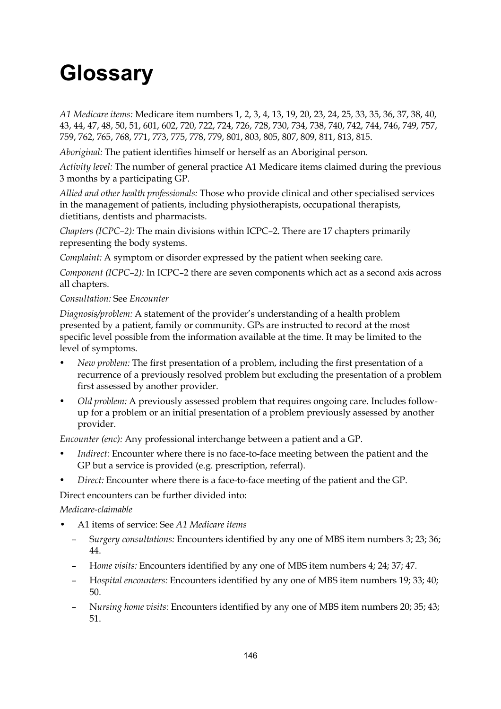# **Glossary**

*A1 Medicare items:* Medicare item numbers 1, 2, 3, 4, 13, 19, 20, 23, 24, 25, 33, 35, 36, 37, 38, 40, 43, 44, 47, 48, 50, 51, 601, 602, 720, 722, 724, 726, 728, 730, 734, 738, 740, 742, 744, 746, 749, 757, 759, 762, 765, 768, 771, 773, 775, 778, 779, 801, 803, 805, 807, 809, 811, 813, 815.

*Aboriginal:* The patient identifies himself or herself as an Aboriginal person.

*Activity level:* The number of general practice A1 Medicare items claimed during the previous 3 months by a participating GP.

*Allied and other health professionals:* Those who provide clinical and other specialised services in the management of patients, including physiotherapists, occupational therapists, dietitians, dentists and pharmacists.

*Chapters (ICPC–2):* The main divisions within ICPC–2. There are 17 chapters primarily representing the body systems.

*Complaint:* A symptom or disorder expressed by the patient when seeking care.

*Component (ICPC–2):* In ICPC–2 there are seven components which act as a second axis across all chapters.

### *Consultation:* See *Encounter*

*Diagnosis/problem:* A statement of the provider's understanding of a health problem presented by a patient, family or community. GPs are instructed to record at the most specific level possible from the information available at the time. It may be limited to the level of symptoms.

- *New problem:* The first presentation of a problem, including the first presentation of a recurrence of a previously resolved problem but excluding the presentation of a problem first assessed by another provider.
- *Old problem:* A previously assessed problem that requires ongoing care. Includes followup for a problem or an initial presentation of a problem previously assessed by another provider.

*Encounter (enc):* Any professional interchange between a patient and a GP.

- *Indirect:* Encounter where there is no face-to-face meeting between the patient and the GP but a service is provided (e.g. prescription, referral).
- *Direct:* Encounter where there is a face-to-face meeting of the patient and the GP.

Direct encounters can be further divided into:

#### *Medicare-claimable*

- A1 items of service: See *A1 Medicare items*
	- S*urgery consultations:* Encounters identified by any one of MBS item numbers 3; 23; 36; 44.
	- H*ome visits:* Encounters identified by any one of MBS item numbers 4; 24; 37; 47.
	- H*ospital encounters:* Encounters identified by any one of MBS item numbers 19; 33; 40; 50.
	- N*ursing home visits:* Encounters identified by any one of MBS item numbers 20; 35; 43; 51.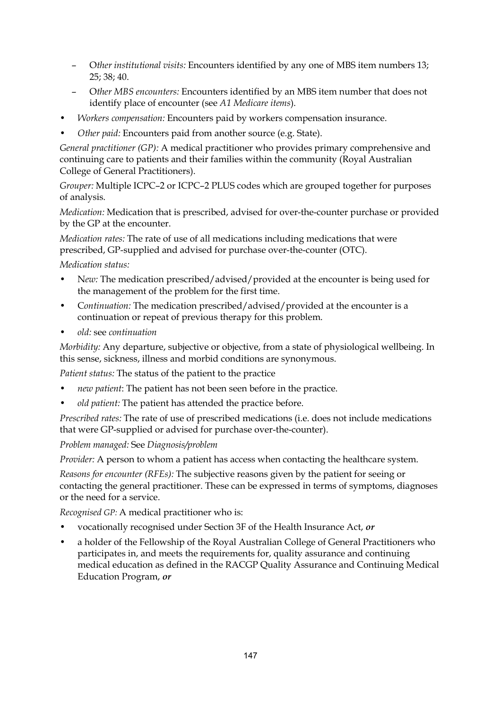- O*ther institutional visits:* Encounters identified by any one of MBS item numbers 13; 25; 38; 40.
- O*ther MBS encounters:* Encounters identified by an MBS item number that does not identify place of encounter (see *A1 Medicare items*).
- *Workers compensation:* Encounters paid by workers compensation insurance.
- *Other paid:* Encounters paid from another source (e.g. State).

*General practitioner (GP):* A medical practitioner who provides primary comprehensive and continuing care to patients and their families within the community (Royal Australian College of General Practitioners).

*Grouper:* Multiple ICPC–2 or ICPC–2 PLUS codes which are grouped together for purposes of analysis.

*Medication:* Medication that is prescribed, advised for over-the-counter purchase or provided by the GP at the encounter.

*Medication rates:* The rate of use of all medications including medications that were prescribed, GP-supplied and advised for purchase over-the-counter (OTC).

*Medication status:*

- N*ew:* The medication prescribed/advised/provided at the encounter is being used for the management of the problem for the first time.
- C*ontinuation:* The medication prescribed/advised/provided at the encounter is a continuation or repeat of previous therapy for this problem.
- *old:* see *continuation*

*Morbidity:* Any departure, subjective or objective, from a state of physiological wellbeing. In this sense, sickness, illness and morbid conditions are synonymous.

*Patient status:* The status of the patient to the practice

- *new patient*: The patient has not been seen before in the practice.
- *old patient:* The patient has attended the practice before.

*Prescribed rates:* The rate of use of prescribed medications (i.e. does not include medications that were GP-supplied or advised for purchase over-the-counter).

*Problem managed:* See *Diagnosis/problem*

*Provider:* A person to whom a patient has access when contacting the healthcare system.

*Reasons for encounter (RFEs):* The subjective reasons given by the patient for seeing or contacting the general practitioner. These can be expressed in terms of symptoms, diagnoses or the need for a service.

*Recognised GP:* A medical practitioner who is:

- vocationally recognised under Section 3F of the Health Insurance Act, *or*
- a holder of the Fellowship of the Royal Australian College of General Practitioners who participates in, and meets the requirements for, quality assurance and continuing medical education as defined in the RACGP Quality Assurance and Continuing Medical Education Program, *or*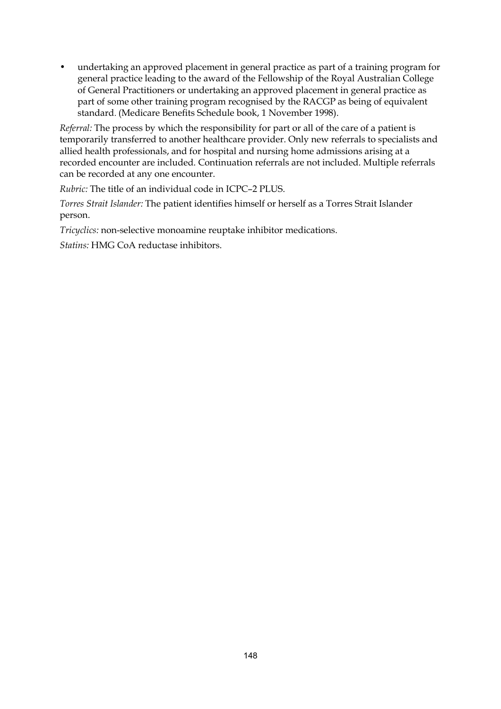• undertaking an approved placement in general practice as part of a training program for general practice leading to the award of the Fellowship of the Royal Australian College of General Practitioners or undertaking an approved placement in general practice as part of some other training program recognised by the RACGP as being of equivalent standard. (Medicare Benefits Schedule book, 1 November 1998).

*Referral:* The process by which the responsibility for part or all of the care of a patient is temporarily transferred to another healthcare provider. Only new referrals to specialists and allied health professionals, and for hospital and nursing home admissions arising at a recorded encounter are included. Continuation referrals are not included. Multiple referrals can be recorded at any one encounter.

*Rubric:* The title of an individual code in ICPC–2 PLUS.

*Torres Strait Islander:* The patient identifies himself or herself as a Torres Strait Islander person.

*Tricyclics:* non-selective monoamine reuptake inhibitor medications.

*Statins:* HMG CoA reductase inhibitors.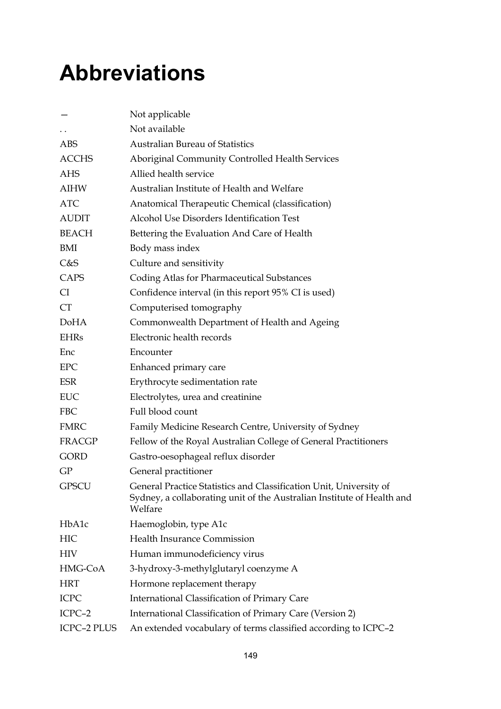## **Abbreviations**

| Not applicable                                                                                                                                          |
|---------------------------------------------------------------------------------------------------------------------------------------------------------|
| Not available                                                                                                                                           |
| <b>Australian Bureau of Statistics</b>                                                                                                                  |
| Aboriginal Community Controlled Health Services                                                                                                         |
| Allied health service                                                                                                                                   |
| Australian Institute of Health and Welfare                                                                                                              |
| Anatomical Therapeutic Chemical (classification)                                                                                                        |
| Alcohol Use Disorders Identification Test                                                                                                               |
| Bettering the Evaluation And Care of Health                                                                                                             |
| Body mass index                                                                                                                                         |
| Culture and sensitivity                                                                                                                                 |
| Coding Atlas for Pharmaceutical Substances                                                                                                              |
| Confidence interval (in this report 95% CI is used)                                                                                                     |
| Computerised tomography                                                                                                                                 |
| Commonwealth Department of Health and Ageing                                                                                                            |
| Electronic health records                                                                                                                               |
| Encounter                                                                                                                                               |
| Enhanced primary care                                                                                                                                   |
| Erythrocyte sedimentation rate                                                                                                                          |
| Electrolytes, urea and creatinine                                                                                                                       |
| Full blood count                                                                                                                                        |
| Family Medicine Research Centre, University of Sydney                                                                                                   |
| Fellow of the Royal Australian College of General Practitioners                                                                                         |
| Gastro-oesophageal reflux disorder                                                                                                                      |
| General practitioner                                                                                                                                    |
| General Practice Statistics and Classification Unit, University of<br>Sydney, a collaborating unit of the Australian Institute of Health and<br>Welfare |
| Haemoglobin, type A1c                                                                                                                                   |
| <b>Health Insurance Commission</b>                                                                                                                      |
| Human immunodeficiency virus                                                                                                                            |
| 3-hydroxy-3-methylglutaryl coenzyme A                                                                                                                   |
| Hormone replacement therapy                                                                                                                             |
| International Classification of Primary Care                                                                                                            |
| International Classification of Primary Care (Version 2)                                                                                                |
| An extended vocabulary of terms classified according to ICPC-2                                                                                          |
|                                                                                                                                                         |